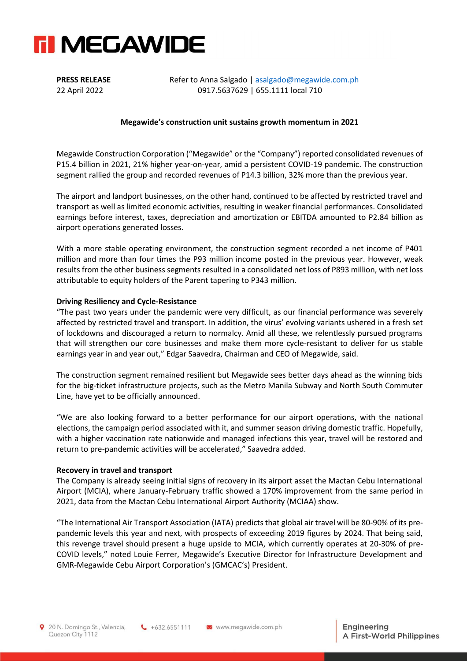

**PRESS RELEASE** Refer to Anna Salgado | [asalgado@megawide.com.ph](mailto:asalgado@megawide.com.ph) 22 April 2022 0917.5637629 | 655.1111 local 710

### **Megawide's construction unit sustains growth momentum in 2021**

Megawide Construction Corporation ("Megawide" or the "Company") reported consolidated revenues of P15.4 billion in 2021, 21% higher year-on-year, amid a persistent COVID-19 pandemic. The construction segment rallied the group and recorded revenues of P14.3 billion, 32% more than the previous year.

The airport and landport businesses, on the other hand, continued to be affected by restricted travel and transport as well as limited economic activities, resulting in weaker financial performances. Consolidated earnings before interest, taxes, depreciation and amortization or EBITDA amounted to P2.84 billion as airport operations generated losses.

With a more stable operating environment, the construction segment recorded a net income of P401 million and more than four times the P93 million income posted in the previous year. However, weak results from the other business segments resulted in a consolidated net loss of P893 million, with net loss attributable to equity holders of the Parent tapering to P343 million.

#### **Driving Resiliency and Cycle-Resistance**

"The past two years under the pandemic were very difficult, as our financial performance was severely affected by restricted travel and transport. In addition, the virus' evolving variants ushered in a fresh set of lockdowns and discouraged a return to normalcy. Amid all these, we relentlessly pursued programs that will strengthen our core businesses and make them more cycle-resistant to deliver for us stable earnings year in and year out," Edgar Saavedra, Chairman and CEO of Megawide, said.

The construction segment remained resilient but Megawide sees better days ahead as the winning bids for the big-ticket infrastructure projects, such as the Metro Manila Subway and North South Commuter Line, have yet to be officially announced.

"We are also looking forward to a better performance for our airport operations, with the national elections, the campaign period associated with it, and summer season driving domestic traffic. Hopefully, with a higher vaccination rate nationwide and managed infections this year, travel will be restored and return to pre-pandemic activities will be accelerated," Saavedra added.

#### **Recovery in travel and transport**

The Company is already seeing initial signs of recovery in its airport asset the Mactan Cebu International Airport (MCIA), where January-February traffic showed a 170% improvement from the same period in 2021, data from the Mactan Cebu International Airport Authority (MCIAA) show.

"The International Air Transport Association (IATA) predicts that global air travel will be 80-90% of its prepandemic levels this year and next, with prospects of exceeding 2019 figures by 2024. That being said, this revenge travel should present a huge upside to MCIA, which currently operates at 20-30% of pre-COVID levels," noted Louie Ferrer, Megawide's Executive Director for Infrastructure Development and GMR-Megawide Cebu Airport Corporation's (GMCAC's) President.

 $\leftarrow +632.6551111$